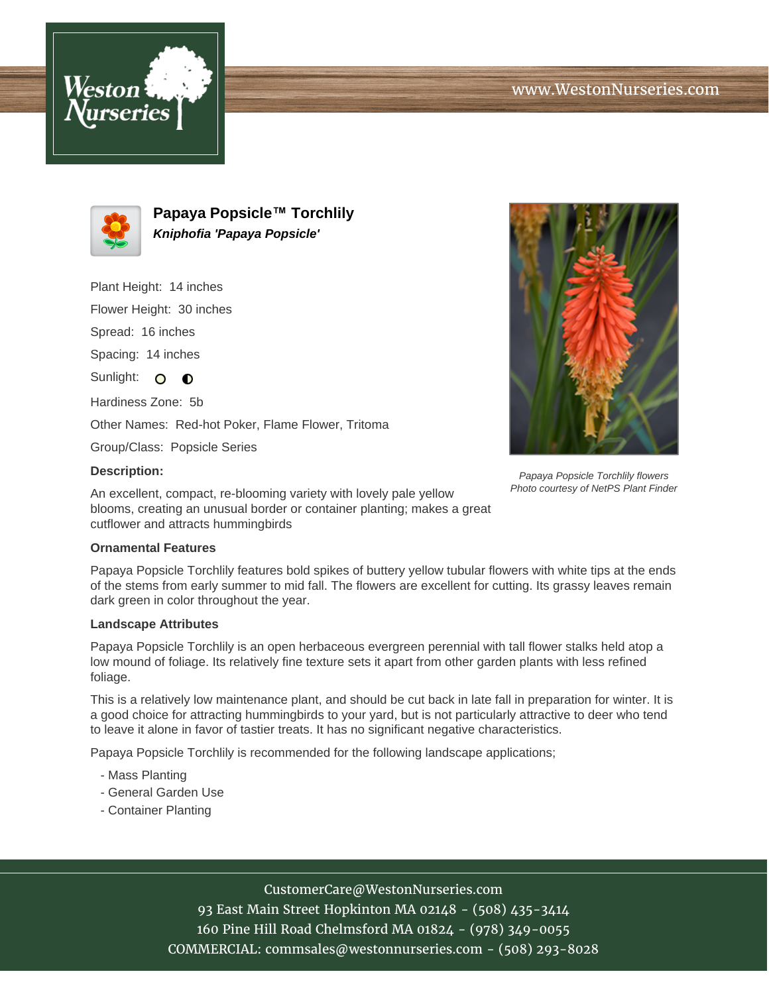



**Papaya Popsicle™ Torchlily Kniphofia 'Papaya Popsicle'**

Plant Height: 14 inches Flower Height: 30 inches

Spread: 16 inches

Spacing: 14 inches

Sunlight: O O

Hardiness Zone: 5b

Other Names: Red-hot Poker, Flame Flower, Tritoma

Group/Class: Popsicle Series

### **Description:**

Papaya Popsicle Torchlily flowers Photo courtesy of NetPS Plant Finder

An excellent, compact, re-blooming variety with lovely pale yellow blooms, creating an unusual border or container planting; makes a great cutflower and attracts hummingbirds

### **Ornamental Features**

Papaya Popsicle Torchlily features bold spikes of buttery yellow tubular flowers with white tips at the ends of the stems from early summer to mid fall. The flowers are excellent for cutting. Its grassy leaves remain dark green in color throughout the year.

### **Landscape Attributes**

Papaya Popsicle Torchlily is an open herbaceous evergreen perennial with tall flower stalks held atop a low mound of foliage. Its relatively fine texture sets it apart from other garden plants with less refined foliage.

This is a relatively low maintenance plant, and should be cut back in late fall in preparation for winter. It is a good choice for attracting hummingbirds to your yard, but is not particularly attractive to deer who tend to leave it alone in favor of tastier treats. It has no significant negative characteristics.

Papaya Popsicle Torchlily is recommended for the following landscape applications;

- Mass Planting
- General Garden Use
- Container Planting

# CustomerCare@WestonNurseries.com

93 East Main Street Hopkinton MA 02148 - (508) 435-3414 160 Pine Hill Road Chelmsford MA 01824 - (978) 349-0055 COMMERCIAL: commsales@westonnurseries.com - (508) 293-8028